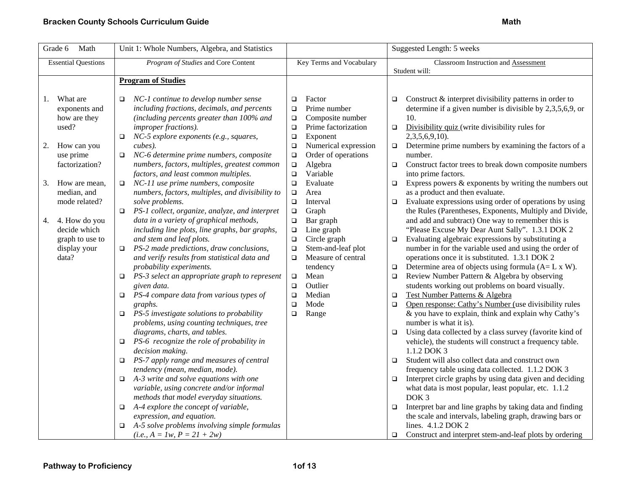| Math<br>Grade 6                                          | Unit 1: Whole Numbers, Algebra, and Statistics                                                                                                                                                                     |                                                                                                                                 | Suggested Length: 5 weeks                                                                                                                                                                                                       |
|----------------------------------------------------------|--------------------------------------------------------------------------------------------------------------------------------------------------------------------------------------------------------------------|---------------------------------------------------------------------------------------------------------------------------------|---------------------------------------------------------------------------------------------------------------------------------------------------------------------------------------------------------------------------------|
| <b>Essential Questions</b>                               | Program of Studies and Core Content                                                                                                                                                                                | Key Terms and Vocabulary                                                                                                        | Classroom Instruction and Assessment<br>Student will:                                                                                                                                                                           |
|                                                          | <b>Program of Studies</b>                                                                                                                                                                                          |                                                                                                                                 |                                                                                                                                                                                                                                 |
| What are<br>1.<br>exponents and<br>how are they<br>used? | NC-1 continue to develop number sense<br>□<br>including fractions, decimals, and percents<br>(including percents greater than 100% and<br>improper fractions).<br>NC-5 explore exponents (e.g., squares,<br>$\Box$ | Factor<br>$\Box$<br>Prime number<br>$\Box$<br>Composite number<br>$\Box$<br>Prime factorization<br>$\Box$<br>Exponent<br>$\Box$ | Construct & interpret divisibility patterns in order to<br>$\Box$<br>determine if a given number is divisible by 2,3,5,6,9, or<br>10.<br>Divisibility quiz (write divisibility rules for<br>$\Box$<br>$2,3,5,6,9,10$ .          |
| 2.<br>How can you<br>use prime<br>factorization?         | cubes).<br>$\Box$<br>NC-6 determine prime numbers, composite<br>numbers, factors, multiples, greatest common                                                                                                       | Numerical expression<br>$\Box$<br>Order of operations<br>$\Box$<br>Algebra<br>$\Box$<br>Variable                                | Determine prime numbers by examining the factors of a<br>$\Box$<br>number.<br>$\Box$<br>Construct factor trees to break down composite numbers                                                                                  |
| 3.<br>How are mean,<br>median, and<br>mode related?      | factors, and least common multiples.<br>NC-11 use prime numbers, composite<br>$\Box$<br>numbers, factors, multiples, and divisibility to<br>solve problems.                                                        | $\Box$<br>Evaluate<br>$\Box$<br>$\Box$<br>Area<br>$\Box$<br>Interval                                                            | into prime factors.<br>Express powers $\&$ exponents by writing the numbers out<br>$\Box$<br>as a product and then evaluate.<br>Evaluate expressions using order of operations by using<br>$\Box$                               |
| 4.<br>4. How do you<br>decide which<br>graph to use to   | $\Box$ PS-1 collect, organize, analyze, and interpret<br>data in a variety of graphical methods,<br>including line plots, line graphs, bar graphs,<br>and stem and leaf plots.                                     | $\Box$<br>Graph<br>Bar graph<br>$\Box$<br>Line graph<br>$\Box$<br>Circle graph<br>$\Box$                                        | the Rules (Parentheses, Exponents, Multiply and Divide,<br>and add and subtract) One way to remember this is<br>"Please Excuse My Dear Aunt Sally". 1.3.1 DOK 2<br>Evaluating algebraic expressions by substituting a<br>$\Box$ |
| display your<br>data?                                    | $\Box$ PS-2 made predictions, draw conclusions,<br>and verify results from statistical data and<br>probability experiments.                                                                                        | Stem-and-leaf plot<br>$\Box$<br>Measure of central<br>$\Box$<br>tendency                                                        | number in for the variable used and using the order of<br>operations once it is substituted. 1.3.1 DOK 2<br>Determine area of objects using formula $(A = L \times W)$ .<br>$\Box$                                              |
|                                                          | $\Box$ PS-3 select an appropriate graph to represent<br>given data.                                                                                                                                                | Mean<br>$\Box$<br>Outlier<br>$\Box$                                                                                             | Review Number Pattern & Algebra by observing<br>$\Box$<br>students working out problems on board visually.                                                                                                                      |
|                                                          | PS-4 compare data from various types of<br>$\Box$<br>graphs.                                                                                                                                                       | Median<br>$\Box$<br>Mode<br>$\Box$                                                                                              | Test Number Patterns & Algebra<br>$\Box$<br>Open response: Cathy's Number (use divisibility rules<br>$\Box$                                                                                                                     |
|                                                          | PS-5 investigate solutions to probability<br>$\Box$<br>problems, using counting techniques, tree                                                                                                                   | Range<br>$\Box$                                                                                                                 | & you have to explain, think and explain why Cathy's<br>number is what it is).                                                                                                                                                  |
|                                                          | diagrams, charts, and tables.<br>PS-6 recognize the role of probability in<br>$\Box$<br>decision making.                                                                                                           |                                                                                                                                 | Using data collected by a class survey (favorite kind of<br>$\Box$<br>vehicle), the students will construct a frequency table.<br>1.1.2 DOK 3                                                                                   |
|                                                          | PS-7 apply range and measures of central<br>$\Box$<br>tendency (mean, median, mode).                                                                                                                               |                                                                                                                                 | Student will also collect data and construct own<br>$\Box$<br>frequency table using data collected. 1.1.2 DOK 3                                                                                                                 |
|                                                          | A-3 write and solve equations with one<br>$\Box$<br>variable, using concrete and/or informal<br>methods that model everyday situations.                                                                            |                                                                                                                                 | Interpret circle graphs by using data given and deciding<br>$\Box$<br>what data is most popular, least popular, etc. 1.1.2<br>DOK <sub>3</sub>                                                                                  |
|                                                          | A-4 explore the concept of variable,<br>$\Box$<br>expression, and equation.                                                                                                                                        |                                                                                                                                 | Interpret bar and line graphs by taking data and finding<br>$\Box$<br>the scale and intervals, labeling graph, drawing bars or                                                                                                  |
|                                                          | A-5 solve problems involving simple formulas<br>□<br>$(i.e., A = lw, P = 2I + 2w)$                                                                                                                                 |                                                                                                                                 | lines. 4.1.2 DOK 2<br>Construct and interpret stem-and-leaf plots by ordering<br>$\Box$                                                                                                                                         |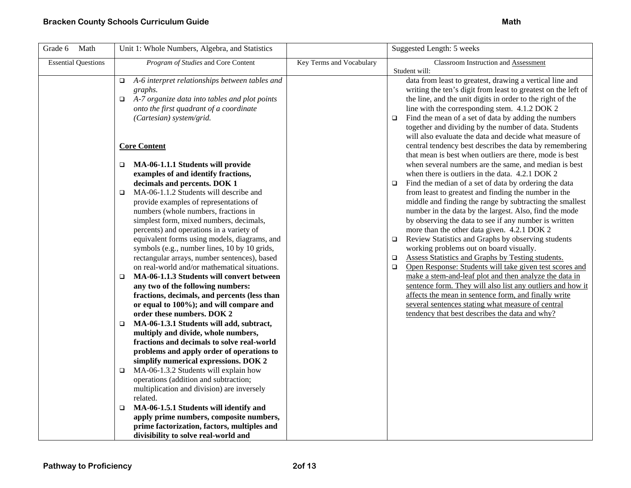| Program of Studies and Core Content<br>Key Terms and Vocabulary<br>Classroom Instruction and Assessment<br><b>Essential Questions</b><br>Student will:<br>A-6 interpret relationships between tables and<br>data from least to greatest, drawing a vertical line and<br>$\Box$<br>writing the ten's digit from least to greatest on the left of<br>graphs.<br>the line, and the unit digits in order to the right of the<br>A-7 organize data into tables and plot points<br>□<br>line with the corresponding stem. 4.1.2 DOK 2<br>onto the first quadrant of a coordinate<br>Find the mean of a set of data by adding the numbers<br>(Cartesian) system/grid.<br>$\Box$ |  |
|--------------------------------------------------------------------------------------------------------------------------------------------------------------------------------------------------------------------------------------------------------------------------------------------------------------------------------------------------------------------------------------------------------------------------------------------------------------------------------------------------------------------------------------------------------------------------------------------------------------------------------------------------------------------------|--|
|                                                                                                                                                                                                                                                                                                                                                                                                                                                                                                                                                                                                                                                                          |  |
|                                                                                                                                                                                                                                                                                                                                                                                                                                                                                                                                                                                                                                                                          |  |
|                                                                                                                                                                                                                                                                                                                                                                                                                                                                                                                                                                                                                                                                          |  |
|                                                                                                                                                                                                                                                                                                                                                                                                                                                                                                                                                                                                                                                                          |  |
|                                                                                                                                                                                                                                                                                                                                                                                                                                                                                                                                                                                                                                                                          |  |
|                                                                                                                                                                                                                                                                                                                                                                                                                                                                                                                                                                                                                                                                          |  |
| together and dividing by the number of data. Students                                                                                                                                                                                                                                                                                                                                                                                                                                                                                                                                                                                                                    |  |
| will also evaluate the data and decide what measure of                                                                                                                                                                                                                                                                                                                                                                                                                                                                                                                                                                                                                   |  |
| central tendency best describes the data by remembering<br><b>Core Content</b>                                                                                                                                                                                                                                                                                                                                                                                                                                                                                                                                                                                           |  |
| that mean is best when outliers are there, mode is best                                                                                                                                                                                                                                                                                                                                                                                                                                                                                                                                                                                                                  |  |
| when several numbers are the same, and median is best<br>MA-06-1.1.1 Students will provide<br>□                                                                                                                                                                                                                                                                                                                                                                                                                                                                                                                                                                          |  |
| when there is outliers in the data. 4.2.1 DOK 2<br>examples of and identify fractions,                                                                                                                                                                                                                                                                                                                                                                                                                                                                                                                                                                                   |  |
| decimals and percents. DOK 1<br>Find the median of a set of data by ordering the data<br>$\Box$                                                                                                                                                                                                                                                                                                                                                                                                                                                                                                                                                                          |  |
| MA-06-1.1.2 Students will describe and<br>from least to greatest and finding the number in the<br>$\Box$<br>provide examples of representations of<br>middle and finding the range by subtracting the smallest                                                                                                                                                                                                                                                                                                                                                                                                                                                           |  |
| number in the data by the largest. Also, find the mode<br>numbers (whole numbers, fractions in                                                                                                                                                                                                                                                                                                                                                                                                                                                                                                                                                                           |  |
| by observing the data to see if any number is written<br>simplest form, mixed numbers, decimals,                                                                                                                                                                                                                                                                                                                                                                                                                                                                                                                                                                         |  |
| more than the other data given. 4.2.1 DOK 2<br>percents) and operations in a variety of                                                                                                                                                                                                                                                                                                                                                                                                                                                                                                                                                                                  |  |
| equivalent forms using models, diagrams, and<br>Review Statistics and Graphs by observing students<br>$\Box$                                                                                                                                                                                                                                                                                                                                                                                                                                                                                                                                                             |  |
| working problems out on board visually.<br>symbols (e.g., number lines, 10 by 10 grids,                                                                                                                                                                                                                                                                                                                                                                                                                                                                                                                                                                                  |  |
| rectangular arrays, number sentences), based<br>Assess Statistics and Graphs by Testing students.<br>$\Box$                                                                                                                                                                                                                                                                                                                                                                                                                                                                                                                                                              |  |
| Open Response: Students will take given test scores and<br>on real-world and/or mathematical situations.<br>$\Box$                                                                                                                                                                                                                                                                                                                                                                                                                                                                                                                                                       |  |
| make a stem-and-leaf plot and then analyze the data in<br>MA-06-1.1.3 Students will convert between<br>$\Box$                                                                                                                                                                                                                                                                                                                                                                                                                                                                                                                                                            |  |
| sentence form. They will also list any outliers and how it<br>any two of the following numbers:                                                                                                                                                                                                                                                                                                                                                                                                                                                                                                                                                                          |  |
| affects the mean in sentence form, and finally write<br>fractions, decimals, and percents (less than<br>several sentences stating what measure of central                                                                                                                                                                                                                                                                                                                                                                                                                                                                                                                |  |
| or equal to 100%); and will compare and<br>tendency that best describes the data and why?<br>order these numbers. DOK 2                                                                                                                                                                                                                                                                                                                                                                                                                                                                                                                                                  |  |
| MA-06-1.3.1 Students will add, subtract,<br>$\Box$                                                                                                                                                                                                                                                                                                                                                                                                                                                                                                                                                                                                                       |  |
| multiply and divide, whole numbers,                                                                                                                                                                                                                                                                                                                                                                                                                                                                                                                                                                                                                                      |  |
| fractions and decimals to solve real-world                                                                                                                                                                                                                                                                                                                                                                                                                                                                                                                                                                                                                               |  |
| problems and apply order of operations to                                                                                                                                                                                                                                                                                                                                                                                                                                                                                                                                                                                                                                |  |
| simplify numerical expressions. DOK 2                                                                                                                                                                                                                                                                                                                                                                                                                                                                                                                                                                                                                                    |  |
| MA-06-1.3.2 Students will explain how<br>$\Box$                                                                                                                                                                                                                                                                                                                                                                                                                                                                                                                                                                                                                          |  |
| operations (addition and subtraction;                                                                                                                                                                                                                                                                                                                                                                                                                                                                                                                                                                                                                                    |  |
| multiplication and division) are inversely                                                                                                                                                                                                                                                                                                                                                                                                                                                                                                                                                                                                                               |  |
| related.                                                                                                                                                                                                                                                                                                                                                                                                                                                                                                                                                                                                                                                                 |  |
| MA-06-1.5.1 Students will identify and<br>$\Box$<br>apply prime numbers, composite numbers,                                                                                                                                                                                                                                                                                                                                                                                                                                                                                                                                                                              |  |
| prime factorization, factors, multiples and                                                                                                                                                                                                                                                                                                                                                                                                                                                                                                                                                                                                                              |  |
| divisibility to solve real-world and                                                                                                                                                                                                                                                                                                                                                                                                                                                                                                                                                                                                                                     |  |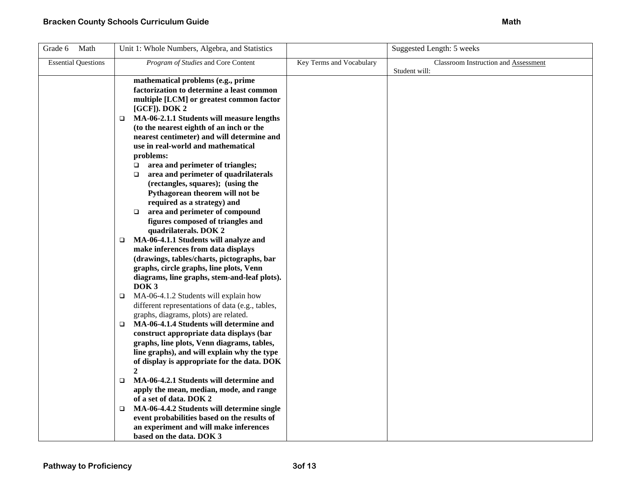| Math<br>Grade 6            | Unit 1: Whole Numbers, Algebra, and Statistics                                                                                                                                                                                                                                                                                                                                                                                                                                                                                                                                                                                                                                                                                                                                                                                                                                                                                                                                                                                                                                                                                                                                                                                                                                                                                                                                                 |                          | Suggested Length: 5 weeks                   |
|----------------------------|------------------------------------------------------------------------------------------------------------------------------------------------------------------------------------------------------------------------------------------------------------------------------------------------------------------------------------------------------------------------------------------------------------------------------------------------------------------------------------------------------------------------------------------------------------------------------------------------------------------------------------------------------------------------------------------------------------------------------------------------------------------------------------------------------------------------------------------------------------------------------------------------------------------------------------------------------------------------------------------------------------------------------------------------------------------------------------------------------------------------------------------------------------------------------------------------------------------------------------------------------------------------------------------------------------------------------------------------------------------------------------------------|--------------------------|---------------------------------------------|
| <b>Essential Questions</b> | Program of Studies and Core Content                                                                                                                                                                                                                                                                                                                                                                                                                                                                                                                                                                                                                                                                                                                                                                                                                                                                                                                                                                                                                                                                                                                                                                                                                                                                                                                                                            | Key Terms and Vocabulary | <b>Classroom Instruction and Assessment</b> |
|                            | mathematical problems (e.g., prime<br>factorization to determine a least common<br>multiple [LCM] or greatest common factor<br>$[GCF]$ ). DOK 2<br>MA-06-2.1.1 Students will measure lengths<br>$\Box$<br>(to the nearest eighth of an inch or the<br>nearest centimeter) and will determine and<br>use in real-world and mathematical<br>problems:<br>area and perimeter of triangles;<br>$\Box$<br>area and perimeter of quadrilaterals<br>$\Box$<br>(rectangles, squares); (using the<br>Pythagorean theorem will not be<br>required as a strategy) and<br>area and perimeter of compound<br>$\Box$<br>figures composed of triangles and<br>quadrilaterals. DOK 2<br>MA-06-4.1.1 Students will analyze and<br>$\Box$<br>make inferences from data displays<br>(drawings, tables/charts, pictographs, bar<br>graphs, circle graphs, line plots, Venn<br>diagrams, line graphs, stem-and-leaf plots).<br>DOK <sub>3</sub><br>MA-06-4.1.2 Students will explain how<br>$\Box$<br>different representations of data (e.g., tables,<br>graphs, diagrams, plots) are related.<br>MA-06-4.1.4 Students will determine and<br>$\Box$<br>construct appropriate data displays (bar<br>graphs, line plots, Venn diagrams, tables,<br>line graphs), and will explain why the type<br>of display is appropriate for the data. DOK<br>$\overline{2}$<br>MA-06-4.2.1 Students will determine and<br>$\Box$ |                          | Student will:                               |
|                            | apply the mean, median, mode, and range<br>of a set of data. DOK 2                                                                                                                                                                                                                                                                                                                                                                                                                                                                                                                                                                                                                                                                                                                                                                                                                                                                                                                                                                                                                                                                                                                                                                                                                                                                                                                             |                          |                                             |
|                            | MA-06-4.4.2 Students will determine single<br>$\Box$<br>event probabilities based on the results of<br>an experiment and will make inferences<br>based on the data. DOK 3                                                                                                                                                                                                                                                                                                                                                                                                                                                                                                                                                                                                                                                                                                                                                                                                                                                                                                                                                                                                                                                                                                                                                                                                                      |                          |                                             |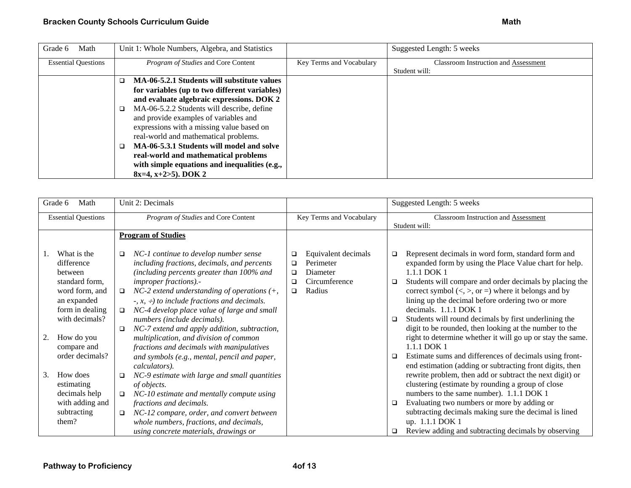| Grade 6<br>Math            | Unit 1: Whole Numbers, Algebra, and Statistics |                          | Suggested Length: 5 weeks                   |
|----------------------------|------------------------------------------------|--------------------------|---------------------------------------------|
| <b>Essential Questions</b> | Program of Studies and Core Content            | Key Terms and Vocabulary | <b>Classroom Instruction and Assessment</b> |
|                            |                                                |                          | Student will:                               |
|                            | MA-06-5.2.1 Students will substitute values    |                          |                                             |
|                            | for variables (up to two different variables)  |                          |                                             |
|                            | and evaluate algebraic expressions. DOK 2      |                          |                                             |
|                            | MA-06-5.2.2 Students will describe, define     |                          |                                             |
|                            | and provide examples of variables and          |                          |                                             |
|                            | expressions with a missing value based on      |                          |                                             |
|                            | real-world and mathematical problems.          |                          |                                             |
|                            | MA-06-5.3.1 Students will model and solve      |                          |                                             |
|                            | real-world and mathematical problems           |                          |                                             |
|                            | with simple equations and inequalities (e.g.,  |                          |                                             |
|                            | $8x=4$ , $x+2>5$ ). DOK 2                      |                          |                                             |

|                            | Grade 6<br>Math                                                                                                              | Unit 2: Decimals                                                                                                                                                                                                                                                                                                                                                                                |                            |                                                                         | Suggested Length: 5 weeks                             |                                                                                                                                                                                                                                                                                                                                                                                          |
|----------------------------|------------------------------------------------------------------------------------------------------------------------------|-------------------------------------------------------------------------------------------------------------------------------------------------------------------------------------------------------------------------------------------------------------------------------------------------------------------------------------------------------------------------------------------------|----------------------------|-------------------------------------------------------------------------|-------------------------------------------------------|------------------------------------------------------------------------------------------------------------------------------------------------------------------------------------------------------------------------------------------------------------------------------------------------------------------------------------------------------------------------------------------|
| <b>Essential Questions</b> |                                                                                                                              | Program of Studies and Core Content                                                                                                                                                                                                                                                                                                                                                             | Key Terms and Vocabulary   |                                                                         | Classroom Instruction and Assessment<br>Student will: |                                                                                                                                                                                                                                                                                                                                                                                          |
|                            |                                                                                                                              | <b>Program of Studies</b>                                                                                                                                                                                                                                                                                                                                                                       |                            |                                                                         |                                                       |                                                                                                                                                                                                                                                                                                                                                                                          |
|                            | What is the<br>difference<br>between<br>standard form,<br>word form, and<br>an expanded<br>form in dealing<br>with decimals? | NC-1 continue to develop number sense<br>$\Box$<br>including fractions, decimals, and percents<br>(including percents greater than 100% and<br><i>improper fractions</i> ).-<br>$NC-2$ extend understanding of operations $(+,$<br>$\Box$<br>$\div$ , $x$ , $\div$ ) to include fractions and decimals.<br>NC-4 develop place value of large and small<br>$\Box$<br>numbers (include decimals). | $\Box$<br>□<br>□<br>□<br>◻ | Equivalent decimals<br>Perimeter<br>Diameter<br>Circumference<br>Radius | $\Box$<br>$\Box$<br>$\Box$                            | Represent decimals in word form, standard form and<br>expanded form by using the Place Value chart for help.<br>1.1.1 DOK 1<br>Students will compare and order decimals by placing the<br>correct symbol $(<, >,$ or =) where it belongs and by<br>lining up the decimal before ordering two or more<br>decimals. $1.1.1$ DOK 1<br>Students will round decimals by first underlining the |
| 2.                         | How do you<br>compare and<br>order decimals?                                                                                 | NC-7 extend and apply addition, subtraction,<br>$\Box$<br>multiplication, and division of common<br>fractions and decimals with manipulatives<br>and symbols (e.g., mental, pencil and paper,<br>calculators).                                                                                                                                                                                  |                            |                                                                         | $\Box$                                                | digit to be rounded, then looking at the number to the<br>right to determine whether it will go up or stay the same.<br>1.1.1 DOK 1<br>Estimate sums and differences of decimals using front-<br>end estimation (adding or subtracting front digits, then                                                                                                                                |
| 3.                         | How does<br>estimating<br>decimals help<br>with adding and<br>subtracting<br>them?                                           | NC-9 estimate with large and small quantities<br>$\Box$<br>of objects.<br>NC-10 estimate and mentally compute using<br>$\Box$<br>fractions and decimals.<br>NC-12 compare, order, and convert between<br>$\Box$<br>whole numbers, fractions, and decimals,<br>using concrete materials, drawings or                                                                                             |                            |                                                                         | $\Box$<br>□                                           | rewrite problem, then add or subtract the next digit) or<br>clustering (estimate by rounding a group of close<br>numbers to the same number). 1.1.1 DOK 1<br>Evaluating two numbers or more by adding or<br>subtracting decimals making sure the decimal is lined<br>up. 1.1.1 DOK 1<br>Review adding and subtracting decimals by observing                                              |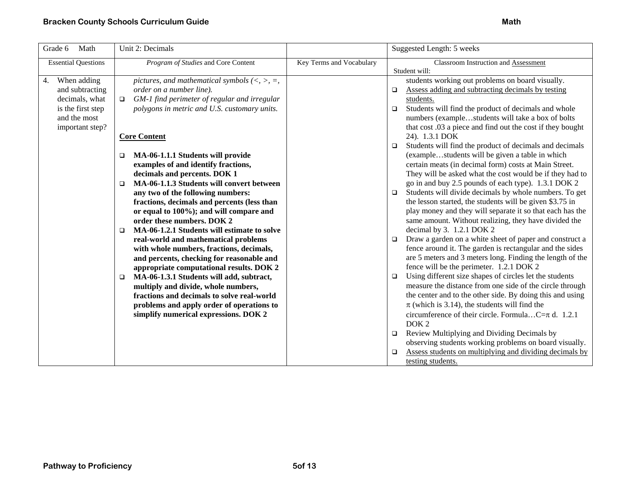| Grade 6<br>Math            | Unit 2: Decimals                                       |                          | Suggested Length: 5 weeks                                         |  |
|----------------------------|--------------------------------------------------------|--------------------------|-------------------------------------------------------------------|--|
| <b>Essential Questions</b> | Program of Studies and Core Content                    | Key Terms and Vocabulary | Classroom Instruction and Assessment                              |  |
|                            |                                                        |                          | Student will:                                                     |  |
| When adding<br>4.          | pictures, and mathematical symbols $(<, >, =$ ,        |                          | students working out problems on board visually.                  |  |
| and subtracting            | order on a number line).                               |                          | Assess adding and subtracting decimals by testing<br>$\Box$       |  |
| decimals, what             | GM-1 find perimeter of regular and irregular<br>$\Box$ |                          | students.                                                         |  |
| is the first step          | polygons in metric and U.S. customary units.           |                          | Students will find the product of decimals and whole<br>$\Box$    |  |
| and the most               |                                                        |                          | numbers (examplestudents will take a box of bolts                 |  |
| important step?            |                                                        |                          | that cost .03 a piece and find out the cost if they bought        |  |
|                            | <b>Core Content</b>                                    |                          | 24). 1.3.1 DOK                                                    |  |
|                            |                                                        |                          | Students will find the product of decimals and decimals<br>$\Box$ |  |
|                            | MA-06-1.1.1 Students will provide<br>□                 |                          | (examplestudents will be given a table in which                   |  |
|                            | examples of and identify fractions,                    |                          | certain meats (in decimal form) costs at Main Street.             |  |
|                            | decimals and percents. DOK 1                           |                          | They will be asked what the cost would be if they had to          |  |
|                            | MA-06-1.1.3 Students will convert between<br>$\Box$    |                          | go in and buy 2.5 pounds of each type). 1.3.1 DOK 2               |  |
|                            | any two of the following numbers:                      |                          | Students will divide decimals by whole numbers. To get<br>$\Box$  |  |
|                            | fractions, decimals and percents (less than            |                          | the lesson started, the students will be given \$3.75 in          |  |
|                            | or equal to 100%); and will compare and                |                          | play money and they will separate it so that each has the         |  |
|                            | order these numbers. DOK 2                             |                          | same amount. Without realizing, they have divided the             |  |
|                            | MA-06-1.2.1 Students will estimate to solve<br>$\Box$  |                          | decimal by 3. 1.2.1 DOK 2                                         |  |
|                            | real-world and mathematical problems                   |                          | Draw a garden on a white sheet of paper and construct a<br>$\Box$ |  |
|                            | with whole numbers, fractions, decimals,               |                          | fence around it. The garden is rectangular and the sides          |  |
|                            | and percents, checking for reasonable and              |                          | are 5 meters and 3 meters long. Finding the length of the         |  |
|                            | appropriate computational results. DOK 2               |                          | fence will be the perimeter. 1.2.1 DOK 2                          |  |
|                            | MA-06-1.3.1 Students will add, subtract,<br>$\Box$     |                          | Using different size shapes of circles let the students<br>$\Box$ |  |
|                            | multiply and divide, whole numbers,                    |                          | measure the distance from one side of the circle through          |  |
|                            | fractions and decimals to solve real-world             |                          | the center and to the other side. By doing this and using         |  |
|                            | problems and apply order of operations to              |                          | $\pi$ (which is 3.14), the students will find the                 |  |
|                            | simplify numerical expressions. DOK 2                  |                          | circumference of their circle. Formula $C = \pi d$ . 1.2.1        |  |
|                            |                                                        |                          | DOK <sub>2</sub>                                                  |  |
|                            |                                                        |                          | Review Multiplying and Dividing Decimals by<br>$\Box$             |  |
|                            |                                                        |                          | observing students working problems on board visually.            |  |
|                            |                                                        |                          | Assess students on multiplying and dividing decimals by<br>$\Box$ |  |
|                            |                                                        |                          | testing students.                                                 |  |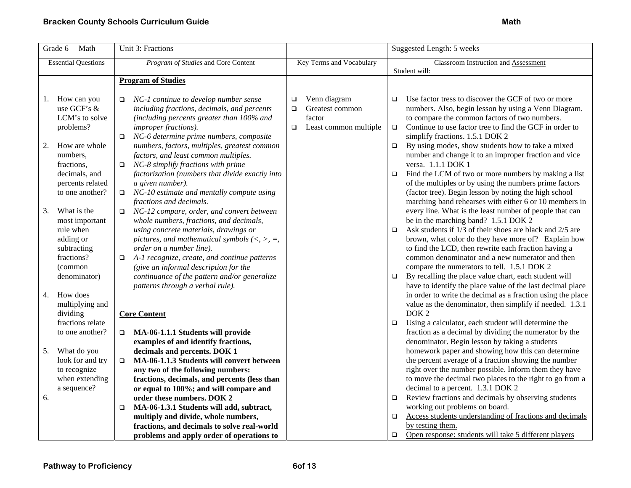| Math<br>Grade 6                                                              | Unit 3: Fractions                                                                                                                                                                                                        | Suggested Length: 5 weeks  |                                                                    |                  |                                                                                                                                                                                                                                                                            |
|------------------------------------------------------------------------------|--------------------------------------------------------------------------------------------------------------------------------------------------------------------------------------------------------------------------|----------------------------|--------------------------------------------------------------------|------------------|----------------------------------------------------------------------------------------------------------------------------------------------------------------------------------------------------------------------------------------------------------------------------|
| <b>Essential Questions</b>                                                   | Program of Studies and Core Content                                                                                                                                                                                      |                            | Key Terms and Vocabulary                                           |                  | Classroom Instruction and Assessment<br>Student will:                                                                                                                                                                                                                      |
|                                                                              | <b>Program of Studies</b>                                                                                                                                                                                                |                            |                                                                    |                  |                                                                                                                                                                                                                                                                            |
| How can you<br>1.<br>use GCF's &<br>LCM's to solve<br>problems?              | NC-1 continue to develop number sense<br>$\Box$<br>including fractions, decimals, and percents<br>(including percents greater than 100% and<br>improper fractions).<br>NC-6 determine prime numbers, composite<br>$\Box$ | $\Box$<br>$\Box$<br>$\Box$ | Venn diagram<br>Greatest common<br>factor<br>Least common multiple | □<br>$\Box$      | Use factor tress to discover the GCF of two or more<br>numbers. Also, begin lesson by using a Venn Diagram.<br>to compare the common factors of two numbers.<br>Continue to use factor tree to find the GCF in order to<br>simplify fractions. 1.5.1 DOK 2                 |
| 2.<br>How are whole<br>numbers,<br>fractions.<br>decimals, and               | numbers, factors, multiples, greatest common<br>factors, and least common multiples.<br>NC-8 simplify fractions with prime<br>$\Box$<br>factorization (numbers that divide exactly into                                  |                            |                                                                    | $\Box$<br>$\Box$ | By using modes, show students how to take a mixed<br>number and change it to an improper fraction and vice<br>versa. 1.1.1 DOK 1<br>Find the LCM of two or more numbers by making a list                                                                                   |
| percents related<br>to one another?                                          | a given number).<br>$\Box$ NC-10 estimate and mentally compute using<br>fractions and decimals.                                                                                                                          |                            |                                                                    |                  | of the multiples or by using the numbers prime factors<br>(factor tree). Begin lesson by noting the high school<br>marching band rehearses with either 6 or 10 members in                                                                                                  |
| 3.<br>What is the<br>most important<br>rule when<br>adding or<br>subtracting | NC-12 compare, order, and convert between<br>$\Box$<br>whole numbers, fractions, and decimals,<br>using concrete materials, drawings or<br>pictures, and mathematical symbols $(<, >, =$ ,<br>order on a number line).   |                            |                                                                    | $\Box$           | every line. What is the least number of people that can<br>be in the marching band? 1.5.1 DOK 2<br>Ask students if 1/3 of their shoes are black and 2/5 are<br>brown, what color do they have more of? Explain how<br>to find the LCD, then rewrite each fraction having a |
| fractions?<br>(common<br>denominator)                                        | A-1 recognize, create, and continue patterns<br>$\Box$<br>(give an informal description for the<br>continuance of the pattern and/or generalize<br>patterns through a verbal rule).                                      |                            |                                                                    | □                | common denominator and a new numerator and then<br>compare the numerators to tell. 1.5.1 DOK 2<br>By recalling the place value chart, each student will<br>have to identify the place value of the last decimal place                                                      |
| How does<br>4.<br>multiplying and<br>dividing                                | <b>Core Content</b>                                                                                                                                                                                                      |                            |                                                                    |                  | in order to write the decimal as a fraction using the place<br>value as the denominator, then simplify if needed. 1.3.1<br>DOK <sub>2</sub>                                                                                                                                |
| fractions relate<br>to one another?                                          | MA-06-1.1.1 Students will provide<br>$\Box$<br>examples of and identify fractions,                                                                                                                                       |                            |                                                                    | $\Box$           | Using a calculator, each student will determine the<br>fraction as a decimal by dividing the numerator by the<br>denominator. Begin lesson by taking a students                                                                                                            |
| What do you<br>5.<br>look for and try<br>to recognize<br>when extending      | decimals and percents. DOK 1<br>MA-06-1.1.3 Students will convert between<br>$\Box$<br>any two of the following numbers:                                                                                                 |                            |                                                                    |                  | homework paper and showing how this can determine<br>the percent average of a fraction showing the number<br>right over the number possible. Inform them they have<br>to move the decimal two places to the right to go from a                                             |
| a sequence?<br>6.                                                            | fractions, decimals, and percents (less than<br>or equal to 100%; and will compare and<br>order these numbers. DOK 2<br>MA-06-1.3.1 Students will add, subtract,<br>$\Box$                                               |                            |                                                                    | $\Box$           | decimal to a percent. 1.3.1 DOK 2<br>Review fractions and decimals by observing students<br>working out problems on board.                                                                                                                                                 |
|                                                                              | multiply and divide, whole numbers,<br>fractions, and decimals to solve real-world<br>problems and apply order of operations to                                                                                          |                            |                                                                    | $\Box$<br>$\Box$ | Access students understanding of fractions and decimals<br>by testing them.<br>Open response: students will take 5 different players                                                                                                                                       |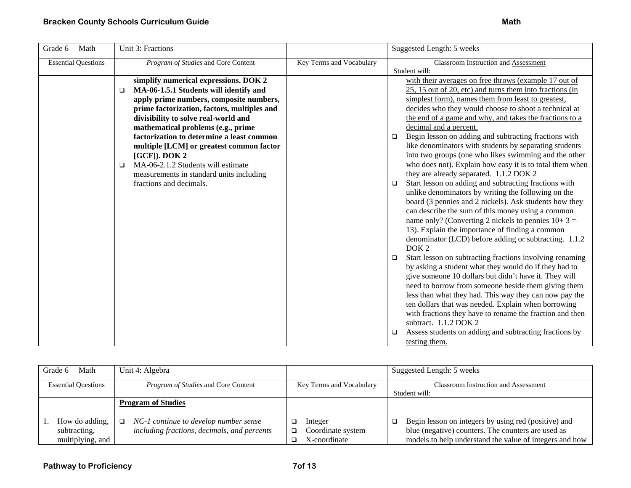| Math<br>Grade 6            | Unit 3: Fractions                                                                                                                                                                                                                                                                                                                                                                                                                                                                                |                          | Suggested Length: 5 weeks                                                                                                                                                                                                                                                                                                                                                                                                                                                                                                                                                                                                                                                                                                                                                                                                                                                                                                                                                                                                                                                                                                                                                                                                                                                                                                                                                                                                                                                                                                                                                   |
|----------------------------|--------------------------------------------------------------------------------------------------------------------------------------------------------------------------------------------------------------------------------------------------------------------------------------------------------------------------------------------------------------------------------------------------------------------------------------------------------------------------------------------------|--------------------------|-----------------------------------------------------------------------------------------------------------------------------------------------------------------------------------------------------------------------------------------------------------------------------------------------------------------------------------------------------------------------------------------------------------------------------------------------------------------------------------------------------------------------------------------------------------------------------------------------------------------------------------------------------------------------------------------------------------------------------------------------------------------------------------------------------------------------------------------------------------------------------------------------------------------------------------------------------------------------------------------------------------------------------------------------------------------------------------------------------------------------------------------------------------------------------------------------------------------------------------------------------------------------------------------------------------------------------------------------------------------------------------------------------------------------------------------------------------------------------------------------------------------------------------------------------------------------------|
| <b>Essential Questions</b> | Program of Studies and Core Content                                                                                                                                                                                                                                                                                                                                                                                                                                                              | Key Terms and Vocabulary | Classroom Instruction and Assessment<br>Student will:                                                                                                                                                                                                                                                                                                                                                                                                                                                                                                                                                                                                                                                                                                                                                                                                                                                                                                                                                                                                                                                                                                                                                                                                                                                                                                                                                                                                                                                                                                                       |
|                            | simplify numerical expressions. DOK 2<br>MA-06-1.5.1 Students will identify and<br>□<br>apply prime numbers, composite numbers,<br>prime factorization, factors, multiples and<br>divisibility to solve real-world and<br>mathematical problems (e.g., prime<br>factorization to determine a least common<br>multiple [LCM] or greatest common factor<br>$[GCF]$ ). DOK 2<br>MA-06-2.1.2 Students will estimate<br>$\Box$<br>measurements in standard units including<br>fractions and decimals. |                          | with their averages on free throws (example 17 out of<br>25, 15 out of 20, etc) and turns them into fractions (in<br>simplest form), names them from least to greatest,<br>decides who they would choose to shoot a technical at<br>the end of a game and why, and takes the fractions to a<br>decimal and a percent.<br>Begin lesson on adding and subtracting fractions with<br>$\Box$<br>like denominators with students by separating students<br>into two groups (one who likes swimming and the other<br>who does not). Explain how easy it is to total them when<br>they are already separated. 1.1.2 DOK 2<br>Start lesson on adding and subtracting fractions with<br>$\Box$<br>unlike denominators by writing the following on the<br>board (3 pennies and 2 nickels). Ask students how they<br>can describe the sum of this money using a common<br>name only? (Converting 2 nickels to pennies $10+3=$<br>13). Explain the importance of finding a common<br>denominator (LCD) before adding or subtracting. 1.1.2<br>DOK <sub>2</sub><br>Start lesson on subtracting fractions involving renaming<br>$\Box$<br>by asking a student what they would do if they had to<br>give someone 10 dollars but didn't have it. They will<br>need to borrow from someone beside them giving them<br>less than what they had. This way they can now pay the<br>ten dollars that was needed. Explain when borrowing<br>with fractions they have to rename the fraction and then<br>subtract. 1.1.2 DOK 2<br>Assess students on adding and subtracting fractions by<br>$\Box$ |
|                            |                                                                                                                                                                                                                                                                                                                                                                                                                                                                                                  |                          | testing them.                                                                                                                                                                                                                                                                                                                                                                                                                                                                                                                                                                                                                                                                                                                                                                                                                                                                                                                                                                                                                                                                                                                                                                                                                                                                                                                                                                                                                                                                                                                                                               |

| Math<br>Grade 6                | Unit 4: Algebra                                                                      |                              | Suggested Length: 5 weeks                                                                                  |
|--------------------------------|--------------------------------------------------------------------------------------|------------------------------|------------------------------------------------------------------------------------------------------------|
| <b>Essential Questions</b>     | <i>Program of Studies</i> and Core Content                                           | Key Terms and Vocabulary     | <b>Classroom Instruction and Assessment</b>                                                                |
|                                |                                                                                      |                              | Student will:                                                                                              |
|                                | <b>Program of Studies</b>                                                            |                              |                                                                                                            |
| How do adding,<br>subtracting, | NC-1 continue to develop number sense<br>including fractions, decimals, and percents | Integer<br>Coordinate system | Begin lesson on integers by using red (positive) and<br>blue (negative) counters. The counters are used as |
| multiplying, and               |                                                                                      | X-coordinate                 | models to help understand the value of integers and how                                                    |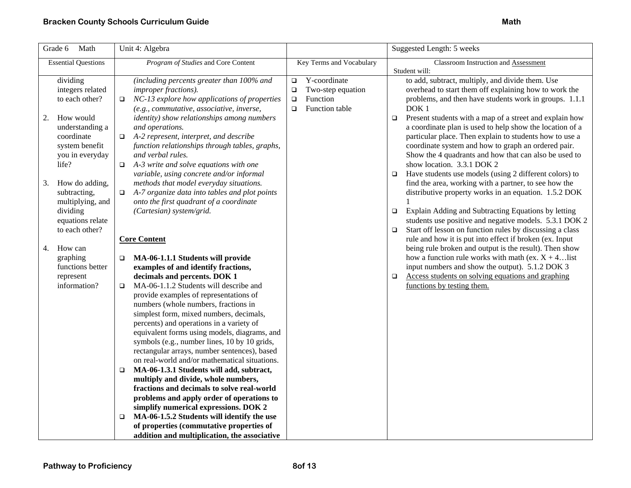| Grade 6<br>Math                                                                                                                                  | Unit 4: Algebra                                                                                                                                                                                                                                                                                                                                                                                                                                                                                                                                                                                                                                                                                                                                                                                                                                                                                                                               |                                                                                                         | Suggested Length: 5 weeks                                                                                                                                                                                                                                                                                                                                                                                                                                                                                                                                                                                              |
|--------------------------------------------------------------------------------------------------------------------------------------------------|-----------------------------------------------------------------------------------------------------------------------------------------------------------------------------------------------------------------------------------------------------------------------------------------------------------------------------------------------------------------------------------------------------------------------------------------------------------------------------------------------------------------------------------------------------------------------------------------------------------------------------------------------------------------------------------------------------------------------------------------------------------------------------------------------------------------------------------------------------------------------------------------------------------------------------------------------|---------------------------------------------------------------------------------------------------------|------------------------------------------------------------------------------------------------------------------------------------------------------------------------------------------------------------------------------------------------------------------------------------------------------------------------------------------------------------------------------------------------------------------------------------------------------------------------------------------------------------------------------------------------------------------------------------------------------------------------|
| <b>Essential Questions</b>                                                                                                                       | Program of Studies and Core Content                                                                                                                                                                                                                                                                                                                                                                                                                                                                                                                                                                                                                                                                                                                                                                                                                                                                                                           | Key Terms and Vocabulary                                                                                | Classroom Instruction and Assessment                                                                                                                                                                                                                                                                                                                                                                                                                                                                                                                                                                                   |
| dividing<br>integers related<br>to each other?<br>How would<br>2.<br>understanding a<br>coordinate<br>system benefit<br>you in everyday<br>life? | (including percents greater than 100% and<br>improper fractions).<br>NC-13 explore how applications of properties<br>$\Box$<br>(e.g., commutative, associative, inverse,<br><i>identity</i> ) show relationships among numbers<br>and operations.<br>A-2 represent, interpret, and describe<br>$\Box$<br>function relationships through tables, graphs,<br>and verbal rules.<br>A-3 write and solve equations with one<br>o.<br>variable, using concrete and/or informal                                                                                                                                                                                                                                                                                                                                                                                                                                                                      | Y-coordinate<br>$\Box$<br>Two-step equation<br>$\Box$<br>Function<br>$\Box$<br>Function table<br>$\Box$ | Student will:<br>to add, subtract, multiply, and divide them. Use<br>overhead to start them off explaining how to work the<br>problems, and then have students work in groups. 1.1.1<br>DOK <sub>1</sub><br>Present students with a map of a street and explain how<br>$\Box$<br>a coordinate plan is used to help show the location of a<br>particular place. Then explain to students how to use a<br>coordinate system and how to graph an ordered pair.<br>Show the 4 quadrants and how that can also be used to<br>show location. 3.3.1 DOK 2<br>Have students use models (using 2 different colors) to<br>$\Box$ |
| How do adding,<br>3.<br>subtracting,<br>multiplying, and<br>dividing<br>equations relate<br>to each other?                                       | methods that model everyday situations.<br>A-7 organize data into tables and plot points<br>$\Box$<br>onto the first quadrant of a coordinate<br>(Cartesian) system/grid.                                                                                                                                                                                                                                                                                                                                                                                                                                                                                                                                                                                                                                                                                                                                                                     |                                                                                                         | find the area, working with a partner, to see how the<br>distributive property works in an equation. 1.5.2 DOK<br>Explain Adding and Subtracting Equations by letting<br>$\Box$<br>students use positive and negative models. 5.3.1 DOK 2<br>Start off lesson on function rules by discussing a class<br>$\Box$                                                                                                                                                                                                                                                                                                        |
| How can<br>4.<br>graphing<br>functions better<br>represent<br>information?                                                                       | <b>Core Content</b><br>MA-06-1.1.1 Students will provide<br>□<br>examples of and identify fractions,<br>decimals and percents. DOK 1<br>MA-06-1.1.2 Students will describe and<br>◻<br>provide examples of representations of<br>numbers (whole numbers, fractions in<br>simplest form, mixed numbers, decimals,<br>percents) and operations in a variety of<br>equivalent forms using models, diagrams, and<br>symbols (e.g., number lines, 10 by 10 grids,<br>rectangular arrays, number sentences), based<br>on real-world and/or mathematical situations.<br>MA-06-1.3.1 Students will add, subtract,<br>□<br>multiply and divide, whole numbers,<br>fractions and decimals to solve real-world<br>problems and apply order of operations to<br>simplify numerical expressions. DOK 2<br>MA-06-1.5.2 Students will identify the use<br>$\Box$<br>of properties (commutative properties of<br>addition and multiplication, the associative |                                                                                                         | rule and how it is put into effect if broken (ex. Input<br>being rule broken and output is the result). Then show<br>how a function rule works with math (ex. $X + 4$ list<br>input numbers and show the output). 5.1.2 DOK 3<br>Access students on solving equations and graphing<br>$\Box$<br>functions by testing them.                                                                                                                                                                                                                                                                                             |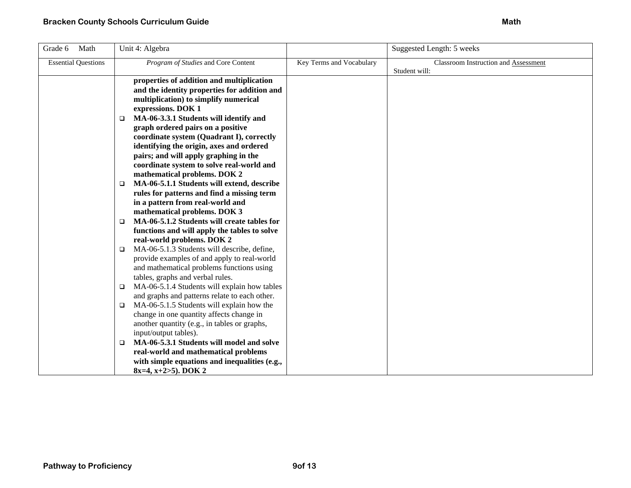| Math<br>Grade 6            | Unit 4: Algebra                                                                                                                                                                                                                                                                                                                                                                                                                                                                                                                                                                                                                                                                                                                                                                                                                                                                                                                                             |                          | Suggested Length: 5 weeks                             |
|----------------------------|-------------------------------------------------------------------------------------------------------------------------------------------------------------------------------------------------------------------------------------------------------------------------------------------------------------------------------------------------------------------------------------------------------------------------------------------------------------------------------------------------------------------------------------------------------------------------------------------------------------------------------------------------------------------------------------------------------------------------------------------------------------------------------------------------------------------------------------------------------------------------------------------------------------------------------------------------------------|--------------------------|-------------------------------------------------------|
| <b>Essential Questions</b> | Program of Studies and Core Content                                                                                                                                                                                                                                                                                                                                                                                                                                                                                                                                                                                                                                                                                                                                                                                                                                                                                                                         | Key Terms and Vocabulary | Classroom Instruction and Assessment<br>Student will: |
|                            | properties of addition and multiplication<br>and the identity properties for addition and<br>multiplication) to simplify numerical<br>expressions. DOK 1<br>MA-06-3.3.1 Students will identify and<br>□<br>graph ordered pairs on a positive<br>coordinate system (Quadrant I), correctly<br>identifying the origin, axes and ordered<br>pairs; and will apply graphing in the<br>coordinate system to solve real-world and<br>mathematical problems. DOK 2<br>MA-06-5.1.1 Students will extend, describe<br>□<br>rules for patterns and find a missing term<br>in a pattern from real-world and<br>mathematical problems. DOK 3<br>MA-06-5.1.2 Students will create tables for<br>$\Box$<br>functions and will apply the tables to solve<br>real-world problems. DOK 2<br>MA-06-5.1.3 Students will describe, define,<br>□<br>provide examples of and apply to real-world<br>and mathematical problems functions using<br>tables, graphs and verbal rules. |                          |                                                       |
|                            | MA-06-5.1.4 Students will explain how tables<br>□<br>and graphs and patterns relate to each other.                                                                                                                                                                                                                                                                                                                                                                                                                                                                                                                                                                                                                                                                                                                                                                                                                                                          |                          |                                                       |
|                            | MA-06-5.1.5 Students will explain how the<br>□<br>change in one quantity affects change in<br>another quantity (e.g., in tables or graphs,<br>input/output tables).                                                                                                                                                                                                                                                                                                                                                                                                                                                                                                                                                                                                                                                                                                                                                                                         |                          |                                                       |
|                            | MA-06-5.3.1 Students will model and solve<br>□<br>real-world and mathematical problems<br>with simple equations and inequalities (e.g.,<br>$8x=4$ , $x+2>5$ ). DOK 2                                                                                                                                                                                                                                                                                                                                                                                                                                                                                                                                                                                                                                                                                                                                                                                        |                          |                                                       |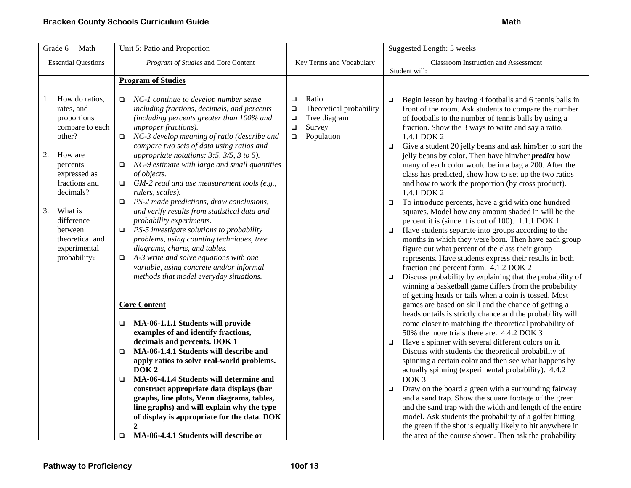|    | Math<br>Grade 6                                                          | Unit 5: Patio and Proportion                                                                                                                                                                                                                                                 | Suggested Length: 5 weeks                      |                                                                          |                  |                                                                                                                                                                                                                                                                                                                                                                                                                                                             |
|----|--------------------------------------------------------------------------|------------------------------------------------------------------------------------------------------------------------------------------------------------------------------------------------------------------------------------------------------------------------------|------------------------------------------------|--------------------------------------------------------------------------|------------------|-------------------------------------------------------------------------------------------------------------------------------------------------------------------------------------------------------------------------------------------------------------------------------------------------------------------------------------------------------------------------------------------------------------------------------------------------------------|
|    | <b>Essential Questions</b>                                               | Program of Studies and Core Content                                                                                                                                                                                                                                          |                                                | Key Terms and Vocabulary                                                 |                  | Classroom Instruction and Assessment<br>Student will:                                                                                                                                                                                                                                                                                                                                                                                                       |
|    |                                                                          | <b>Program of Studies</b>                                                                                                                                                                                                                                                    |                                                |                                                                          |                  |                                                                                                                                                                                                                                                                                                                                                                                                                                                             |
|    | How do ratios,<br>rates, and<br>proportions<br>compare to each<br>other? | NC-1 continue to develop number sense<br>$\Box$<br>including fractions, decimals, and percents<br>(including percents greater than 100% and<br>improper fractions).<br>NC-3 develop meaning of ratio (describe and<br>$\Box$<br>compare two sets of data using ratios and    | $\Box$<br>$\Box$<br>$\Box$<br>$\Box$<br>$\Box$ | Ratio<br>Theoretical probability<br>Tree diagram<br>Survey<br>Population | $\Box$<br>$\Box$ | Begin lesson by having 4 footballs and 6 tennis balls in<br>front of the room. Ask students to compare the number<br>of footballs to the number of tennis balls by using a<br>fraction. Show the 3 ways to write and say a ratio.<br>1.4.1 DOK 2<br>Give a student 20 jelly beans and ask him/her to sort the                                                                                                                                               |
| 2. | How are<br>percents<br>expressed as<br>fractions and<br>decimals?        | appropriate notations: $3:5$ , $3/5$ , $3$ to 5).<br>NC-9 estimate with large and small quantities<br>$\Box$<br>of objects.<br>$GM-2$ read and use measurement tools (e.g.,<br>$\Box$<br>rulers, scales).                                                                    |                                                |                                                                          |                  | jelly beans by color. Then have him/her <i>predict</i> how<br>many of each color would be in a bag a 200. After the<br>class has predicted, show how to set up the two ratios<br>and how to work the proportion (by cross product).<br>1.4.1 DOK 2                                                                                                                                                                                                          |
| 3. | What is<br>difference                                                    | PS-2 made predictions, draw conclusions,<br>$\Box$<br>and verify results from statistical data and<br>probability experiments.                                                                                                                                               |                                                |                                                                          | □                | To introduce percents, have a grid with one hundred<br>squares. Model how any amount shaded in will be the<br>percent it is (since it is out of 100). 1.1.1 DOK 1                                                                                                                                                                                                                                                                                           |
|    | between<br>theoretical and<br>experimental<br>probability?               | PS-5 investigate solutions to probability<br>$\Box$<br>problems, using counting techniques, tree<br>diagrams, charts, and tables.<br>A-3 write and solve equations with one<br>$\Box$<br>variable, using concrete and/or informal<br>methods that model everyday situations. |                                                |                                                                          | $\Box$           | $\Box$ Have students separate into groups according to the<br>months in which they were born. Then have each group<br>figure out what percent of the class their group<br>represents. Have students express their results in both<br>fraction and percent form. 4.1.2 DOK 2<br>Discuss probability by explaining that the probability of<br>winning a basketball game differs from the probability<br>of getting heads or tails when a coin is tossed. Most |
|    |                                                                          | <b>Core Content</b>                                                                                                                                                                                                                                                          |                                                |                                                                          |                  | games are based on skill and the chance of getting a<br>heads or tails is strictly chance and the probability will                                                                                                                                                                                                                                                                                                                                          |
|    |                                                                          | MA-06-1.1.1 Students will provide<br>$\Box$<br>examples of and identify fractions,<br>decimals and percents. DOK 1                                                                                                                                                           |                                                |                                                                          |                  | come closer to matching the theoretical probability of<br>50% the more trials there are. 4.4.2 DOK 3<br>$\Box$ Have a spinner with several different colors on it.                                                                                                                                                                                                                                                                                          |
|    |                                                                          | MA-06-1.4.1 Students will describe and<br>$\Box$<br>apply ratios to solve real-world problems.<br>DOK <sub>2</sub><br>MA-06-4.1.4 Students will determine and<br>$\Box$                                                                                                      |                                                |                                                                          |                  | Discuss with students the theoretical probability of<br>spinning a certain color and then see what happens by<br>actually spinning (experimental probability). 4.4.2<br>DOK <sub>3</sub>                                                                                                                                                                                                                                                                    |
|    |                                                                          | construct appropriate data displays (bar<br>graphs, line plots, Venn diagrams, tables,<br>line graphs) and will explain why the type<br>of display is appropriate for the data. DOK<br>2<br>MA-06-4.4.1 Students will describe or<br>$\Box$                                  |                                                |                                                                          | $\Box$           | Draw on the board a green with a surrounding fairway<br>and a sand trap. Show the square footage of the green<br>and the sand trap with the width and length of the entire<br>model. Ask students the probability of a golfer hitting<br>the green if the shot is equally likely to hit anywhere in<br>the area of the course shown. Then ask the probability                                                                                               |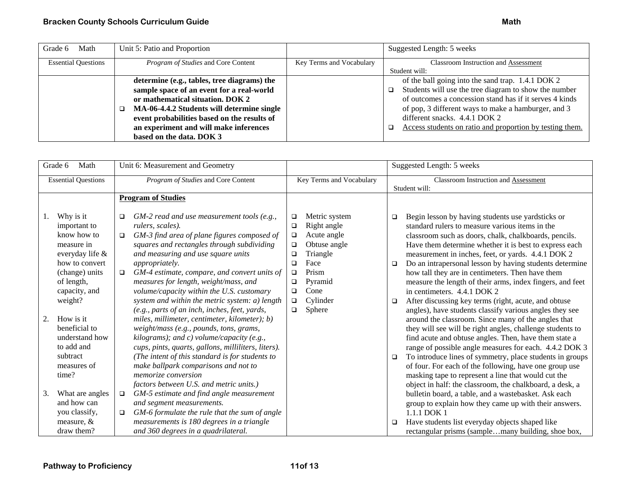| Grade 6<br>Math            | Unit 5: Patio and Proportion                |                          | Suggested Length: 5 weeks                                |
|----------------------------|---------------------------------------------|--------------------------|----------------------------------------------------------|
| <b>Essential Questions</b> | <i>Program of Studies</i> and Core Content  | Key Terms and Vocabulary | <b>Classroom Instruction and Assessment</b>              |
|                            |                                             |                          | Student will:                                            |
|                            | determine (e.g., tables, tree diagrams) the |                          | of the ball going into the sand trap. 1.4.1 DOK 2        |
|                            | sample space of an event for a real-world   |                          | Students will use the tree diagram to show the number    |
|                            | or mathematical situation. DOK 2            |                          | of outcomes a concession stand has if it serves 4 kinds  |
|                            | MA-06-4.4.2 Students will determine single  |                          | of pop, 3 different ways to make a hamburger, and 3      |
|                            | event probabilities based on the results of |                          | different snacks. 4.4.1 DOK 2                            |
|                            | an experiment and will make inferences      |                          | Access students on ratio and proportion by testing them. |
|                            | based on the data. DOK 3                    |                          |                                                          |

| Grade 6<br>Math                                                                                                                                                                                               | Unit 6: Measurement and Geometry                                                                                                                                                                                                                                                                                                                                                                                                                                                                                                                                                                                             |                                                                                                                                                                                                                                                 | Suggested Length: 5 weeks                                                                                                                                                                                                                                                                                                                                                                                                                                                                                                                                                                                                                                                                                                                                                                                              |
|---------------------------------------------------------------------------------------------------------------------------------------------------------------------------------------------------------------|------------------------------------------------------------------------------------------------------------------------------------------------------------------------------------------------------------------------------------------------------------------------------------------------------------------------------------------------------------------------------------------------------------------------------------------------------------------------------------------------------------------------------------------------------------------------------------------------------------------------------|-------------------------------------------------------------------------------------------------------------------------------------------------------------------------------------------------------------------------------------------------|------------------------------------------------------------------------------------------------------------------------------------------------------------------------------------------------------------------------------------------------------------------------------------------------------------------------------------------------------------------------------------------------------------------------------------------------------------------------------------------------------------------------------------------------------------------------------------------------------------------------------------------------------------------------------------------------------------------------------------------------------------------------------------------------------------------------|
| <b>Essential Questions</b>                                                                                                                                                                                    | Program of Studies and Core Content                                                                                                                                                                                                                                                                                                                                                                                                                                                                                                                                                                                          | Key Terms and Vocabulary                                                                                                                                                                                                                        | Classroom Instruction and Assessment<br>Student will:                                                                                                                                                                                                                                                                                                                                                                                                                                                                                                                                                                                                                                                                                                                                                                  |
|                                                                                                                                                                                                               | <b>Program of Studies</b>                                                                                                                                                                                                                                                                                                                                                                                                                                                                                                                                                                                                    |                                                                                                                                                                                                                                                 |                                                                                                                                                                                                                                                                                                                                                                                                                                                                                                                                                                                                                                                                                                                                                                                                                        |
| Why is it<br>important to<br>know how to<br>measure in<br>everyday life &<br>how to convert<br>(change) units<br>of length,<br>capacity, and<br>weight?<br>2.<br>How is it<br>beneficial to<br>understand how | $GM-2$ read and use measurement tools (e.g.,<br>❏<br>rulers, scales).<br>GM-3 find area of plane figures composed of<br>$\Box$<br>squares and rectangles through subdividing<br>and measuring and use square units<br>appropriately.<br>GM-4 estimate, compare, and convert units of<br>o.<br>measures for length, weight/mass, and<br>volume/capacity within the U.S. customary<br>system and within the metric system: a) length<br>(e.g., parts of an inch, inches, feet, yards,<br>miles, millimeter, centimeter, kilometer); b)<br>weight/mass (e.g., pounds, tons, grams,<br>kilograms); and c) volume/capacity (e.g., | Metric system<br>$\Box$<br>Right angle<br>$\Box$<br>Acute angle<br>$\Box$<br>Obtuse angle<br>$\Box$<br>Triangle<br>$\Box$<br>Face<br>$\Box$<br>Prism<br>$\Box$<br>Pyramid<br>$\Box$<br>Cone<br>$\Box$<br>Cylinder<br>$\Box$<br>Sphere<br>$\Box$ | Begin lesson by having students use yardsticks or<br>$\Box$<br>standard rulers to measure various items in the<br>classroom such as doors, chalk, chalkboards, pencils.<br>Have them determine whether it is best to express each<br>measurement in inches, feet, or yards. 4.4.1 DOK 2<br>Do an intrapersonal lesson by having students determine<br>$\Box$<br>how tall they are in centimeters. Then have them<br>measure the length of their arms, index fingers, and feet<br>in centimeters. 4.4.1 DOK 2<br>After discussing key terms (right, acute, and obtuse<br>$\Box$<br>angles), have students classify various angles they see<br>around the classroom. Since many of the angles that<br>they will see will be right angles, challenge students to<br>find acute and obtuse angles. Then, have them state a |
| to add and<br>subtract<br>measures of<br>time?<br>What are angles<br>3.<br>and how can<br>you classify,<br>measure, $&$<br>draw them?                                                                         | cups, pints, quarts, gallons, milliliters, liters).<br>(The intent of this standard is for students to<br>make ballpark comparisons and not to<br>memorize conversion<br>factors between U.S. and metric units.)<br>GM-5 estimate and find angle measurement<br>o<br>and segment measurements.<br>GM-6 formulate the rule that the sum of angle<br>□<br>measurements is 180 degrees in a triangle<br>and 360 degrees in a quadrilateral.                                                                                                                                                                                     |                                                                                                                                                                                                                                                 | range of possible angle measures for each. 4.4.2 DOK 3<br>To introduce lines of symmetry, place students in groups<br>$\Box$<br>of four. For each of the following, have one group use<br>masking tape to represent a line that would cut the<br>object in half: the classroom, the chalkboard, a desk, a<br>bulletin board, a table, and a wastebasket. Ask each<br>group to explain how they came up with their answers.<br>1.1.1 DOK 1<br>Have students list everyday objects shaped like<br>$\Box$<br>rectangular prisms (samplemany building, shoe box,                                                                                                                                                                                                                                                           |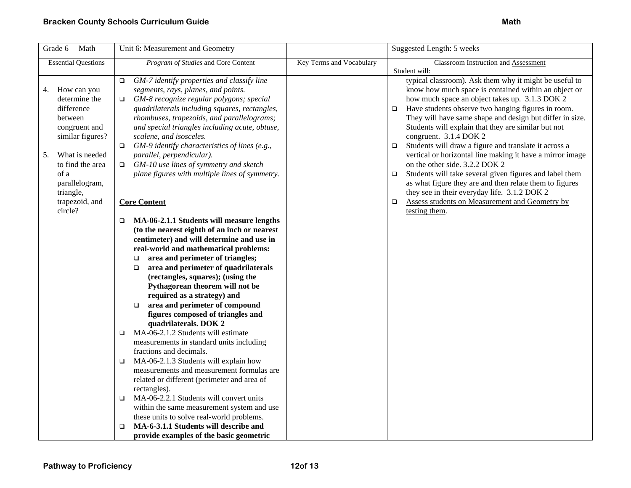| Grade 6<br>Math            | Unit 6: Measurement and Geometry                        |                          | Suggested Length: 5 weeks                                         |
|----------------------------|---------------------------------------------------------|--------------------------|-------------------------------------------------------------------|
| <b>Essential Questions</b> | Program of Studies and Core Content                     | Key Terms and Vocabulary | Classroom Instruction and Assessment                              |
|                            |                                                         |                          | Student will:                                                     |
|                            | GM-7 identify properties and classify line<br>$\Box$    |                          | typical classroom). Ask them why it might be useful to            |
| How can you<br>4.          | segments, rays, planes, and points.                     |                          | know how much space is contained within an object or              |
| determine the              | GM-8 recognize regular polygons; special<br>$\Box$      |                          | how much space an object takes up. 3.1.3 DOK 2                    |
| difference                 | quadrilaterals including squares, rectangles,           |                          | Have students observe two hanging figures in room.<br>$\Box$      |
| between                    | rhombuses, trapezoids, and parallelograms;              |                          | They will have same shape and design but differ in size.          |
| congruent and              | and special triangles including acute, obtuse,          |                          | Students will explain that they are similar but not               |
| similar figures?           | scalene, and isosceles.                                 |                          | congruent. 3.1.4 DOK 2                                            |
|                            | GM-9 identify characteristics of lines (e.g.,<br>$\Box$ |                          | Students will draw a figure and translate it across a<br>$\Box$   |
| What is needed<br>5.       | parallel, perpendicular).                               |                          | vertical or horizontal line making it have a mirror image         |
| to find the area           | GM-10 use lines of symmetry and sketch<br>$\Box$        |                          | on the other side. 3.2.2 DOK 2                                    |
| of a                       | plane figures with multiple lines of symmetry.          |                          | Students will take several given figures and label them<br>$\Box$ |
| parallelogram,             |                                                         |                          | as what figure they are and then relate them to figures           |
| triangle,                  |                                                         |                          | they see in their everyday life. 3.1.2 DOK 2                      |
| trapezoid, and             | <b>Core Content</b>                                     |                          | Assess students on Measurement and Geometry by<br>$\Box$          |
| circle?                    |                                                         |                          | testing them.                                                     |
|                            | MA-06-2.1.1 Students will measure lengths<br>$\Box$     |                          |                                                                   |
|                            | (to the nearest eighth of an inch or nearest            |                          |                                                                   |
|                            | centimeter) and will determine and use in               |                          |                                                                   |
|                            | real-world and mathematical problems:                   |                          |                                                                   |
|                            | area and perimeter of triangles;<br>$\Box$              |                          |                                                                   |
|                            | area and perimeter of quadrilaterals<br>$\Box$          |                          |                                                                   |
|                            | (rectangles, squares); (using the                       |                          |                                                                   |
|                            | Pythagorean theorem will not be                         |                          |                                                                   |
|                            | required as a strategy) and                             |                          |                                                                   |
|                            | area and perimeter of compound<br>$\Box$                |                          |                                                                   |
|                            | figures composed of triangles and                       |                          |                                                                   |
|                            | quadrilaterals. DOK 2                                   |                          |                                                                   |
|                            | MA-06-2.1.2 Students will estimate<br>$\Box$            |                          |                                                                   |
|                            | measurements in standard units including                |                          |                                                                   |
|                            | fractions and decimals.                                 |                          |                                                                   |
|                            | MA-06-2.1.3 Students will explain how<br>$\Box$         |                          |                                                                   |
|                            | measurements and measurement formulas are               |                          |                                                                   |
|                            | related or different (perimeter and area of             |                          |                                                                   |
|                            | rectangles).                                            |                          |                                                                   |
|                            | MA-06-2.2.1 Students will convert units<br>$\Box$       |                          |                                                                   |
|                            | within the same measurement system and use              |                          |                                                                   |
|                            | these units to solve real-world problems.               |                          |                                                                   |
|                            | MA-6-3.1.1 Students will describe and<br>$\Box$         |                          |                                                                   |
|                            | provide examples of the basic geometric                 |                          |                                                                   |